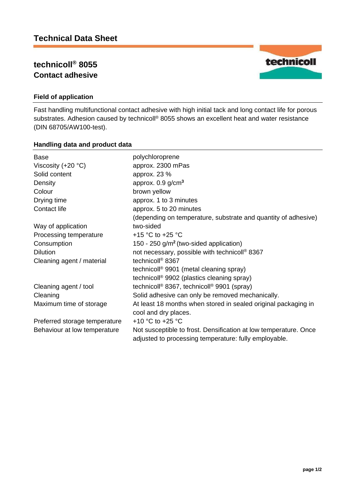# **technicoll® 8055 Contact adhesive**



## **Field of application**

Fast handling multifunctional contact adhesive with high initial tack and long contact life for porous substrates. Adhesion caused by technicoll® 8055 shows an excellent heat and water resistance (DIN 68705/AW100-test).

### **Handling data and product data**

| Base                          | polychloroprene                                                                                                           |
|-------------------------------|---------------------------------------------------------------------------------------------------------------------------|
| Viscosity $(+20 °C)$          | approx. 2300 mPas                                                                                                         |
| Solid content                 | approx. 23 %                                                                                                              |
| Density                       | approx. $0.9$ g/cm <sup>3</sup>                                                                                           |
| Colour                        | brown yellow                                                                                                              |
| Drying time                   | approx. 1 to 3 minutes                                                                                                    |
| Contact life                  | approx. 5 to 20 minutes                                                                                                   |
|                               | (depending on temperature, substrate and quantity of adhesive)                                                            |
| Way of application            | two-sided                                                                                                                 |
| Processing temperature        | +15 °C to +25 °C                                                                                                          |
| Consumption                   | 150 - 250 $g/m2$ (two-sided application)                                                                                  |
| <b>Dilution</b>               | not necessary, possible with technicoll <sup>®</sup> 8367                                                                 |
| Cleaning agent / material     | technicoll <sup>®</sup> 8367                                                                                              |
|                               | technicoll <sup>®</sup> 9901 (metal cleaning spray)                                                                       |
|                               | technicoll <sup>®</sup> 9902 (plastics cleaning spray)                                                                    |
| Cleaning agent / tool         | technicoll <sup>®</sup> 8367, technicoll <sup>®</sup> 9901 (spray)                                                        |
| Cleaning                      | Solid adhesive can only be removed mechanically.                                                                          |
| Maximum time of storage       | At least 18 months when stored in sealed original packaging in<br>cool and dry places.                                    |
| Preferred storage temperature | +10 $^{\circ}$ C to +25 $^{\circ}$ C                                                                                      |
| Behaviour at low temperature  | Not susceptible to frost. Densification at low temperature. Once<br>adjusted to processing temperature: fully employable. |